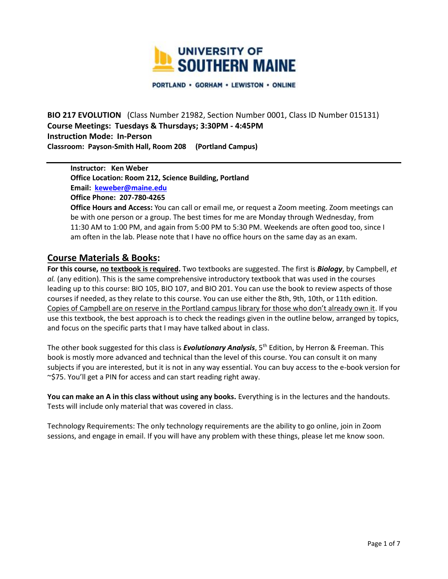

PORTLAND · GORHAM · LEWISTON · ONLINE

**BIO 217 EVOLUTION** (Class Number 21982, Section Number 0001, Class ID Number 015131) **Course Meetings: Tuesdays & Thursdays; 3:30PM - 4:45PM Instruction Mode: In-Person Classroom: Payson-Smith Hall, Room 208 (Portland Campus)**

**Instructor: Ken Weber Office Location: Room 212, Science Building, Portland Email: [keweber@maine.edu](mailto:keweber@maine.edu) Office Phone: 207-780-4265**

**Office Hours and Access:** You can call or email me, or request a Zoom meeting. Zoom meetings can be with one person or a group. The best times for me are Monday through Wednesday, from 11:30 AM to 1:00 PM, and again from 5:00 PM to 5:30 PM. Weekends are often good too, since I am often in the lab. Please note that I have no office hours on the same day as an exam.

## **Course Materials & Books:**

**For this course, no textbook is required.** Two textbooks are suggested. The first is *Biology*, by Campbell, *et al.* (any edition). This is the same comprehensive introductory textbook that was used in the courses leading up to this course: BIO 105, BIO 107, and BIO 201. You can use the book to review aspects of those courses if needed, as they relate to this course. You can use either the 8th, 9th, 10th, or 11th edition. Copies of Campbell are on reserve in the Portland campus library for those who don't already own it. If you use this textbook, the best approach is to check the readings given in the outline below, arranged by topics, and focus on the specific parts that I may have talked about in class.

The other book suggested for this class is *Evolutionary Analysis*, 5th Edition, by Herron & Freeman. This book is mostly more advanced and technical than the level of this course. You can consult it on many subjects if you are interested, but it is not in any way essential. You can buy access to the e-book version for ~\$75. You'll get a PIN for access and can start reading right away.

**You can make an A in this class without using any books.** Everything is in the lectures and the handouts. Tests will include only material that was covered in class.

Technology Requirements: The only technology requirements are the ability to go online, join in Zoom sessions, and engage in email. If you will have any problem with these things, please let me know soon.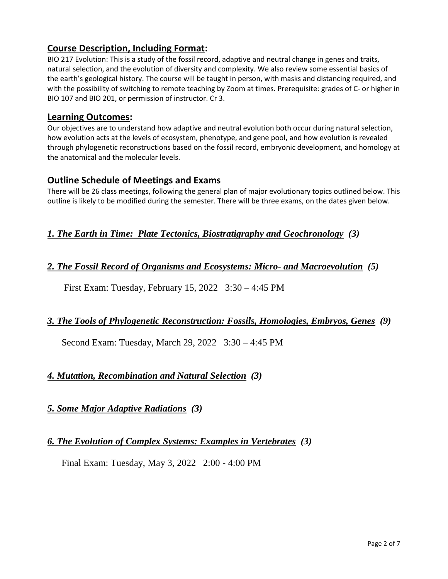# **Course Description, Including Format:**

BIO 217 Evolution: This is a study of the fossil record, adaptive and neutral change in genes and traits, natural selection, and the evolution of diversity and complexity. We also review some essential basics of the earth's geological history. The course will be taught in person, with masks and distancing required, and with the possibility of switching to remote teaching by Zoom at times. Prerequisite: grades of C- or higher in BIO 107 and BIO 201, or permission of instructor. Cr 3.

## **Learning Outcomes:**

Our objectives are to understand how adaptive and neutral evolution both occur during natural selection, how evolution acts at the levels of ecosystem, phenotype, and gene pool, and how evolution is revealed through phylogenetic reconstructions based on the fossil record, embryonic development, and homology at the anatomical and the molecular levels.

# **Outline Schedule of Meetings and Exams**

There will be 26 class meetings, following the general plan of major evolutionary topics outlined below. This outline is likely to be modified during the semester. There will be three exams, on the dates given below.

# *1. The Earth in Time: Plate Tectonics, Biostratigraphy and Geochronology (3)*

## *2. The Fossil Record of Organisms and Ecosystems: Micro- and Macroevolution (5)*

First Exam: Tuesday, February 15, 2022 3:30 – 4:45 PM

## *3. The Tools of Phylogenetic Reconstruction: Fossils, Homologies, Embryos, Genes (9)*

Second Exam: Tuesday, March 29, 2022 3:30 – 4:45 PM

# *4. Mutation, Recombination and Natural Selection (3)*

## *5. Some Major Adaptive Radiations (3)*

## *6. The Evolution of Complex Systems: Examples in Vertebrates (3)*

Final Exam: Tuesday, May 3, 2022 2:00 - 4:00 PM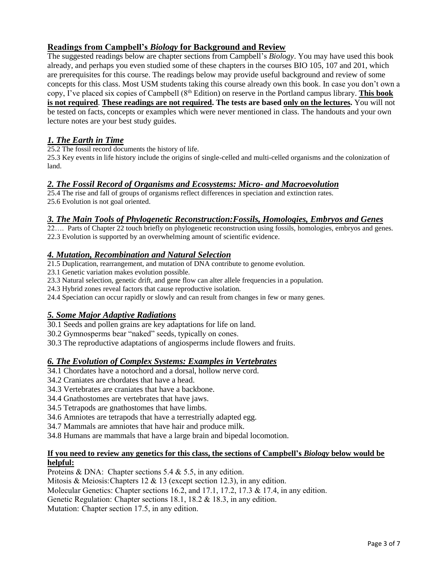### **Readings from Campbell's** *Biology* **for Background and Review**

The suggested readings below are chapter sections from Campbell's *Biology*. You may have used this book already, and perhaps you even studied some of these chapters in the courses BIO 105, 107 and 201, which are prerequisites for this course. The readings below may provide useful background and review of some concepts for this class. Most USM students taking this course already own this book. In case you don't own a copy, I've placed six copies of Campbell (8th Edition) on reserve in the Portland campus library. **This book is not required**. **These readings are not required. The tests are based only on the lectures.** You will not be tested on facts, concepts or examples which were never mentioned in class. The handouts and your own lecture notes are your best study guides.

### *1. The Earth in Time*

25.2 The fossil record documents the history of life.

25.3 Key events in life history include the origins of single-celled and multi-celled organisms and the colonization of land.

### *2. The Fossil Record of Organisms and Ecosystems: Micro- and Macroevolution*

25.4 The rise and fall of groups of organisms reflect differences in speciation and extinction rates. 25.6 Evolution is not goal oriented.

### *3. The Main Tools of Phylogenetic Reconstruction:Fossils, Homologies, Embryos and Genes*

22…. Parts of Chapter 22 touch briefly on phylogenetic reconstruction using fossils, homologies, embryos and genes. 22.3 Evolution is supported by an overwhelming amount of scientific evidence.

### *4. Mutation, Recombination and Natural Selection*

21.5 Duplication, rearrangement, and mutation of DNA contribute to genome evolution.

23.1 Genetic variation makes evolution possible.

23.3 Natural selection, genetic drift, and gene flow can alter allele frequencies in a population.

24.3 Hybrid zones reveal factors that cause reproductive isolation.

24.4 Speciation can occur rapidly or slowly and can result from changes in few or many genes.

### *5. Some Major Adaptive Radiations*

30.1 Seeds and pollen grains are key adaptations for life on land.

30.2 Gymnosperms bear "naked" seeds, typically on cones.

30.3 The reproductive adaptations of angiosperms include flowers and fruits.

### *6. The Evolution of Complex Systems: Examples in Vertebrates*

34.1 Chordates have a notochord and a dorsal, hollow nerve cord.

34.2 Craniates are chordates that have a head.

- 34.3 Vertebrates are craniates that have a backbone.
- 34.4 Gnathostomes are vertebrates that have jaws.
- 34.5 Tetrapods are gnathostomes that have limbs.

34.6 Amniotes are tetrapods that have a terrestrially adapted egg.

34.7 Mammals are amniotes that have hair and produce milk.

34.8 Humans are mammals that have a large brain and bipedal locomotion.

#### **If you need to review any genetics for this class, the sections of Campbell's** *Biology* **below would be helpful:**

Proteins & DNA: Chapter sections 5.4 & 5.5, in any edition.

Mitosis & Meiosis:Chapters 12 & 13 (except section 12.3), in any edition.

Molecular Genetics: Chapter sections 16.2, and 17.1, 17.2, 17.3 & 17.4, in any edition.

Genetic Regulation: Chapter sections 18.1, 18.2 & 18.3, in any edition.

Mutation: Chapter section 17.5, in any edition.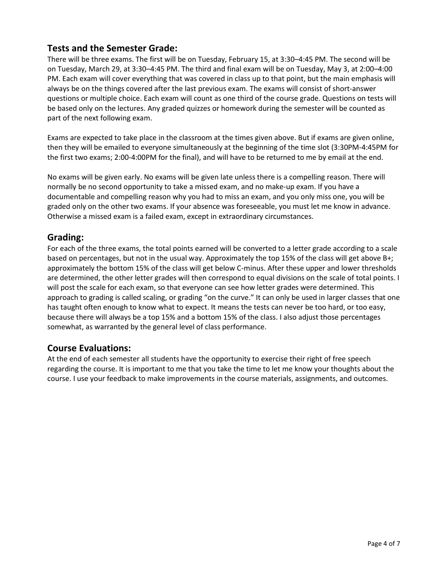# **Tests and the Semester Grade:**

There will be three exams. The first will be on Tuesday, February 15, at 3:30–4:45 PM. The second will be on Tuesday, March 29, at 3:30–4:45 PM. The third and final exam will be on Tuesday, May 3, at 2:00–4:00 PM. Each exam will cover everything that was covered in class up to that point, but the main emphasis will always be on the things covered after the last previous exam. The exams will consist of short-answer questions or multiple choice. Each exam will count as one third of the course grade. Questions on tests will be based only on the lectures. Any graded quizzes or homework during the semester will be counted as part of the next following exam.

Exams are expected to take place in the classroom at the times given above. But if exams are given online, then they will be emailed to everyone simultaneously at the beginning of the time slot (3:30PM-4:45PM for the first two exams; 2:00-4:00PM for the final), and will have to be returned to me by email at the end.

No exams will be given early. No exams will be given late unless there is a compelling reason. There will normally be no second opportunity to take a missed exam, and no make-up exam. If you have a documentable and compelling reason why you had to miss an exam, and you only miss one, you will be graded only on the other two exams. If your absence was foreseeable, you must let me know in advance. Otherwise a missed exam is a failed exam, except in extraordinary circumstances.

## **Grading:**

For each of the three exams, the total points earned will be converted to a letter grade according to a scale based on percentages, but not in the usual way. Approximately the top 15% of the class will get above B+; approximately the bottom 15% of the class will get below C-minus. After these upper and lower thresholds are determined, the other letter grades will then correspond to equal divisions on the scale of total points. I will post the scale for each exam, so that everyone can see how letter grades were determined. This approach to grading is called scaling, or grading "on the curve." It can only be used in larger classes that one has taught often enough to know what to expect. It means the tests can never be too hard, or too easy, because there will always be a top 15% and a bottom 15% of the class. I also adjust those percentages somewhat, as warranted by the general level of class performance.

## **Course Evaluations:**

At the end of each semester all students have the opportunity to exercise their right of free speech regarding the course. It is important to me that you take the time to let me know your thoughts about the course. I use your feedback to make improvements in the course materials, assignments, and outcomes.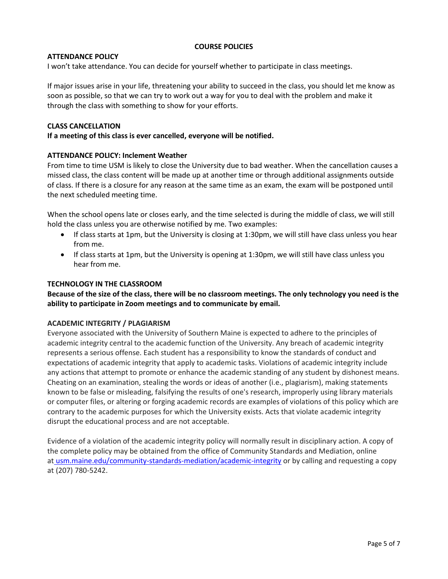### **COURSE POLICIES**

#### **ATTENDANCE POLICY**

I won't take attendance. You can decide for yourself whether to participate in class meetings.

If major issues arise in your life, threatening your ability to succeed in the class, you should let me know as soon as possible, so that we can try to work out a way for you to deal with the problem and make it through the class with something to show for your efforts.

#### **CLASS CANCELLATION**

**If a meeting of this class is ever cancelled, everyone will be notified.**

#### **ATTENDANCE POLICY: Inclement Weather**

From time to time USM is likely to close the University due to bad weather. When the cancellation causes a missed class, the class content will be made up at another time or through additional assignments outside of class. If there is a closure for any reason at the same time as an exam, the exam will be postponed until the next scheduled meeting time.

When the school opens late or closes early, and the time selected is during the middle of class, we will still hold the class unless you are otherwise notified by me. Two examples:

- If class starts at 1pm, but the University is closing at 1:30pm, we will still have class unless you hear from me.
- If class starts at 1pm, but the University is opening at 1:30pm, we will still have class unless you hear from me.

#### **TECHNOLOGY IN THE CLASSROOM**

**Because of the size of the class, there will be no classroom meetings. The only technology you need is the ability to participate in Zoom meetings and to communicate by email.**

### **ACADEMIC INTEGRITY / PLAGIARISM**

Everyone associated with the University of Southern Maine is expected to adhere to the principles of academic integrity central to the academic function of the University. Any breach of academic integrity represents a serious offense. Each student has a responsibility to know the standards of conduct and expectations of academic integrity that apply to academic tasks. Violations of academic integrity include any actions that attempt to promote or enhance the academic standing of any student by dishonest means. Cheating on an examination, stealing the words or ideas of another (i.e., plagiarism), making statements known to be false or misleading, falsifying the results of one's research, improperly using library materials or computer files, or altering or forging academic records are examples of violations of this policy which are contrary to the academic purposes for which the University exists. Acts that violate academic integrity disrupt the educational process and are not acceptable.

Evidence of a violation of the academic integrity policy will normally result in disciplinary action. A copy of the complete policy may be obtained from the office of Community Standards and Mediation, online at [usm.maine.edu/community-standards-mediation/academic-integrity](http://usm.maine.edu/community-standards-mediation/academic-integrity) or by calling and requesting a copy at (207) 780-5242.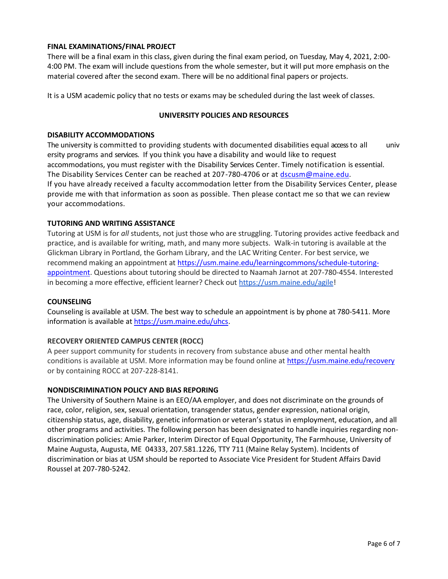### **FINAL EXAMINATIONS/FINAL PROJECT**

There will be a final exam in this class, given during the final exam period, on Tuesday, May 4, 2021, 2:00- 4:00 PM. The exam will include questions from the whole semester, but it will put more emphasis on the material covered after the second exam. There will be no additional final papers or projects.

It is a USM academic policy that no tests or exams may be scheduled during the last week of classes.

#### **UNIVERSITY POLICIES AND RESOURCES**

#### **DISABILITY ACCOMMODATIONS**

The university is committed to providing students with documented disabilities equal access to all univ ersity programs and services. If you think you have a disability and would like to request accommodations, you must register with the Disability Services Center. Timely notification is essential. The Disability Services Center can be reached at 207-780-4706 or at [dscusm@maine.edu.](mailto:dscusm@maine.edu) If you have already received a faculty accommodation letter from the Disability Services Center, please provide me with that information as soon as possible. Then please contact me so that we can review your accommodations.

### **TUTORING AND WRITING ASSISTANCE**

Tutoring at USM is for *all* students, not just those who are struggling. Tutoring provides active feedback and practice, and is available for writing, math, and many more subjects. Walk-in tutoring is available at the Glickman Library in Portland, the Gorham Library, and the LAC Writing Center. For best service, we recommend making an appointment at [https://usm.maine.edu/learningcommons/schedule-tutoring](https://usm.maine.edu/learningcommons/schedule-tutoring-appointment)[appointment.](https://usm.maine.edu/learningcommons/schedule-tutoring-appointment) Questions about tutoring should be directed to Naamah Jarnot at 207-780-4554. Interested in becoming a more effective, efficient learner? Check out [https://usm.maine.edu/agile!](https://usm.maine.edu/agile)

#### **COUNSELING**

Counseling is available at USM. The best way to schedule an appointment is by phone at 780-5411. More information is available at [https://usm.maine.edu/uhcs.](https://usm.maine.edu/uhcs)

### **RECOVERY ORIENTED CAMPUS CENTER (ROCC)**

A peer support community for students in recovery from substance abuse and other mental health conditions is available at USM. More information may be found online at<https://usm.maine.edu/recovery> or by containing ROCC at 207-228-8141.

#### **NONDISCRIMINATION POLICY AND BIAS REPORING**

The University of Southern Maine is an EEO/AA employer, and does not discriminate on the grounds of race, color, religion, sex, sexual orientation, transgender status, gender expression, national origin, citizenship status, age, disability, genetic information or veteran's status in employment, education, and all other programs and activities. The following person has been designated to handle inquiries regarding nondiscrimination policies: Amie Parker, Interim Director of Equal Opportunity, The Farmhouse, University of Maine Augusta, Augusta, ME 04333, 207.581.1226, TTY 711 (Maine Relay System). Incidents of discrimination or bias at USM should be reported to Associate Vice President for Student Affairs David Roussel at 207-780-5242.